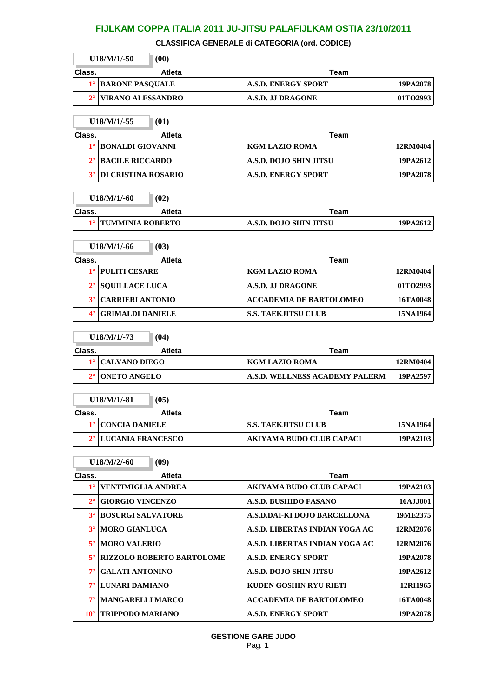**CLASSIFICA GENERALE di CATEGORIA (ord. CODICE)**

|                       | $U18/M/1/-50$<br>(00)                    |                                       |                 |
|-----------------------|------------------------------------------|---------------------------------------|-----------------|
| Class.                | <b>Atleta</b>                            | Team                                  |                 |
| $1^{\circ}$           | <b>BARONE PASQUALE</b>                   | <b>A.S.D. ENERGY SPORT</b>            | 19PA2078        |
| $2^{\circ}$           | <b>VIRANO ALESSANDRO</b>                 | A.S.D. JJ DRAGONE                     | 01TO2993        |
|                       |                                          |                                       |                 |
|                       | $U18/M/1/-55$<br>(01)                    |                                       |                 |
| Class.<br>$1^{\circ}$ | <b>Atleta</b><br><b>BONALDI GIOVANNI</b> | <b>Team</b><br><b>KGM LAZIO ROMA</b>  | 12RM0404        |
| $2^{\circ}$           | <b>BACILE RICCARDO</b>                   | <b>A.S.D. DOJO SHIN JITSU</b>         | 19PA2612        |
| $3^\circ$             | <b>DI CRISTINA ROSARIO</b>               | <b>A.S.D. ENERGY SPORT</b>            | 19PA2078        |
|                       |                                          |                                       |                 |
|                       | $U18/M/1/-60$<br>(02)                    |                                       |                 |
| Class.                | <b>Atleta</b>                            | Team                                  |                 |
| $1^{\circ}$           | <b>TUMMINIA ROBERTO</b>                  | <b>A.S.D. DOJO SHIN JITSU</b>         | 19PA2612        |
|                       |                                          |                                       |                 |
|                       | $U18/M/1/ -66$<br>(03)                   |                                       |                 |
| Class.<br>$1^{\circ}$ | <b>Atleta</b><br><b>PULITI CESARE</b>    | Team<br><b>KGM LAZIO ROMA</b>         | 12RM0404        |
| $2^{\circ}$           | <b>SQUILLACE LUCA</b>                    | <b>A.S.D. J.I DRAGONE</b>             | 01TO2993        |
| $3^\circ$             | <b>CARRIERI ANTONIO</b>                  | <b>ACCADEMIA DE BARTOLOMEO</b>        | 16TA0048        |
| $4^\circ$             | <b>GRIMALDI DANIELE</b>                  | <b>S.S. TAEKJITSU CLUB</b>            | 15NA1964        |
|                       |                                          |                                       |                 |
|                       | $U18/M/1/-73$<br>(04)                    |                                       |                 |
| Class.                | <b>Atleta</b>                            | Team                                  |                 |
|                       |                                          |                                       |                 |
| $1^{\circ}$           | <b>CALVANO DIEGO</b>                     | KGM LAZIO ROMA                        | 12RM0404        |
| $2^{\circ}$           | <b>ONETO ANGELO</b>                      | <b>A.S.D. WELLNESS ACADEMY PALERM</b> | 19PA2597        |
|                       |                                          |                                       |                 |
|                       | $U18/M/1/-81$<br>(05)                    |                                       |                 |
| Class.                | Atleta                                   | <b>Team</b>                           |                 |
| $1^{\circ}$           | CONCIA DANIELE                           | S.S. TAEKJITSU CLUB                   | 15NA1964        |
|                       | 2 <sup>°</sup> LUCANIA FRANCESCO         | AKIYAMA BUDO CLUB CAPACI              | 19PA2103        |
|                       | (09)<br>$U18/M/2/-60$                    |                                       |                 |
| Class.                | <b>Atleta</b>                            | Team                                  |                 |
| $1^{\circ}$           | <b>VENTIMIGLIA ANDREA</b>                | <b>AKIYAMA BUDO CLUB CAPACI</b>       | 19PA2103        |
| $2^{\circ}$           | <b>GIORGIO VINCENZO</b>                  | <b>A.S.D. BUSHIDO FASANO</b>          | 16AJJ001        |
| $3^\circ$             | <b>BOSURGI SALVATORE</b>                 | A.S.D.DAI-KI DOJO BARCELLONA          | 19ME2375        |
| $3^\circ$             | <b>MORO GIANLUCA</b>                     | A.S.D. LIBERTAS INDIAN YOGA AC        | 12RM2076        |
| $5^\circ$             | <b>MORO VALERIO</b>                      | A.S.D. LIBERTAS INDIAN YOGA AC        | 12RM2076        |
| $5^\circ$             | <b>RIZZOLO ROBERTO BARTOLOME</b>         | <b>A.S.D. ENERGY SPORT</b>            | 19PA2078        |
| $7^{\circ}$           | <b>GALATI ANTONINO</b>                   | A.S.D. DOJO SHIN JITSU                | 19PA2612        |
| $7^{\circ}$           | LUNARI DAMIANO                           | <b>KUDEN GOSHIN RYU RIETI</b>         | 12RI1965        |
| $7^{\circ}$           | <b>MANGARELLI MARCO</b>                  | <b>ACCADEMIA DE BARTOLOMEO</b>        | <b>16TA0048</b> |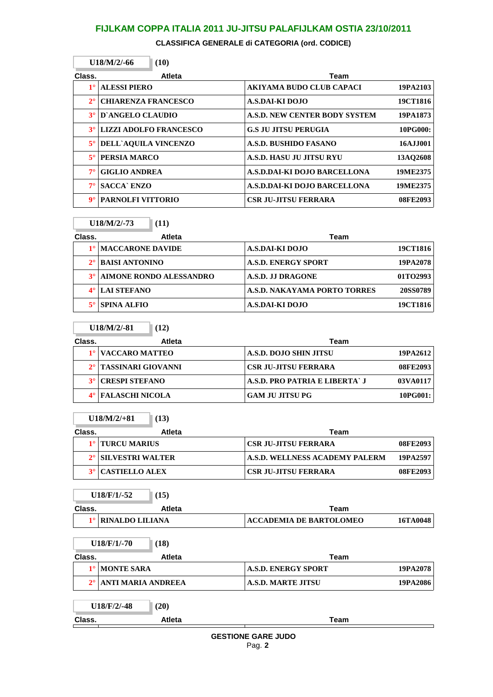**CLASSIFICA GENERALE di CATEGORIA (ord. CODICE)**

|             | $U18/M/2/ -66$                | (10)          |                                      |          |
|-------------|-------------------------------|---------------|--------------------------------------|----------|
| Class.      |                               | <b>Atleta</b> | Team                                 |          |
| $1^{\circ}$ | <b>ALESSI PIERO</b>           |               | AKIYAMA BUDO CLUB CAPACI             | 19PA2103 |
| $2^{\circ}$ | <b>CHIARENZA FRANCESCO</b>    |               | A.S.DAI-KI DOJO                      | 19CT1816 |
| $3^\circ$   | D'ANGELO CLAUDIO              |               | <b>A.S.D. NEW CENTER BODY SYSTEM</b> | 19PA1873 |
| $3^\circ$   | <b>LIZZI ADOLFO FRANCESCO</b> |               | <b>G.S JU JITSU PERUGIA</b>          | 10PG000: |
| $5^{\circ}$ | <b>DELL'AQUILA VINCENZO</b>   |               | A.S.D. BUSHIDO FASANO                | 16AJJ001 |
| $5^{\circ}$ | PERSIA MARCO                  |               | <b>A.S.D. HASU JU JITSU RYU</b>      | 13AO2608 |
| $7^\circ$   | <b>GIGLIO ANDREA</b>          |               | A.S.D.DAI-KI DOJO BARCELLONA         | 19ME2375 |
| $7^\circ$   | <b>SACCA</b> ENZO             |               | A.S.D.DAI-KI DOJO BARCELLONA         | 19ME2375 |
| $9^\circ$   | <b>PARNOLFI VITTORIO</b>      |               | <b>CSR JU-JITSU FERRARA</b>          | 08FE2093 |

|             | $U18/M/2/-73$<br>(11)    |                              |          |
|-------------|--------------------------|------------------------------|----------|
| Class.      | Atleta                   | Team                         |          |
|             | <b>IMACCARONE DAVIDE</b> | A.S.DAI-KI DOJO              | 19CT1816 |
| $2^{\circ}$ | <b>BAISI ANTONINO</b>    | <b>A.S.D. ENERGY SPORT</b>   | 19PA2078 |
| $3^\circ$   | AIMONE RONDO ALESSANDRO  | A.S.D. J.J DRAGONE           | 01TO2993 |
|             | <b>LAI STEFANO</b>       | A.S.D. NAKAYAMA PORTO TORRES | 20SS0789 |
|             | SPINA ALFIO              | A.S.DAI-KI DOJO              | 19CT1816 |

|        | $U18/M/2/-81$<br>(12)  |                                            |  |
|--------|------------------------|--------------------------------------------|--|
| Class. | <b>Atleta</b>          | Team                                       |  |
|        | 1º VACCARO MATTEO      | A.S.D. DOJO SHIN JITSU<br>19PA2612         |  |
|        | 2° TASSINARI GIOVANNI  | <b>CSR JU-JITSU FERRARA</b><br>08FE2093    |  |
|        | <b>CRESPI STEFANO</b>  | A.S.D. PRO PATRIA E LIBERTA` J<br>03VA0117 |  |
|        | <b>FALASCHI NICOLA</b> | <b>GAM JU JITSU PG</b><br>10PG001:         |  |

| $U18/M/2/+81$ | (13) |
|---------------|------|
|---------------|------|

I

Г

| Class. |                                 | Atleta | Team                           |          |
|--------|---------------------------------|--------|--------------------------------|----------|
|        | 1° TURCU MARIUS                 |        | <b>CSR JU-JITSU FERRARA</b>    | 08FE2093 |
|        | 2 <sup>°</sup> SILVESTRI WALTER |        | A.S.D. WELLNESS ACADEMY PALERM | 19PA2597 |
|        | <b>3° CASTIELLO ALEX</b>        |        | <b>CSR JU-JITSU FERRARA</b>    | 08FE2093 |

**U18/F/1/-52** (15)

| Class. | <b>Atleta</b>        | Геаm                                       |  |
|--------|----------------------|--------------------------------------------|--|
|        | 1º   RINALDO LILIANA | <b>ACCADEMIA DE BARTOLOMEO</b><br>16TA0048 |  |

|               | $U18/F/1/-70$<br>(18)     |                            |          |
|---------------|---------------------------|----------------------------|----------|
| Class.        | <b>Atleta</b>             | Team                       |          |
| $1^{\circ}$ l | <b>MONTE SARA</b>         | <b>A.S.D. ENERGY SPORT</b> | 19PA2078 |
| $2^{\circ}$   | <b>ANTI MARIA ANDREEA</b> | <b>A.S.D. MARTE JITSU</b>  | 19PA2086 |

| <b>GESTIONE GARE JUDO</b> |
|---------------------------|
| Pag. 2                    |

**Class. Atleta Team**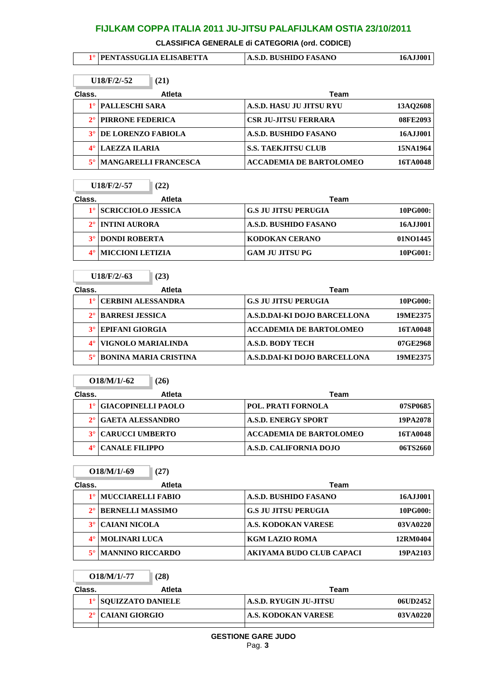**CLASSIFICA GENERALE di CATEGORIA (ord. CODICE)**

| 1º   PENTASSUGLIA ELISABETTA | A.S.D. BUSHIDO FASANO | 16AJJ001 |
|------------------------------|-----------------------|----------|
|                              |                       |          |

| $U18/F/2/-52$<br>(21) |                             |               |                                |          |
|-----------------------|-----------------------------|---------------|--------------------------------|----------|
| Class.                |                             | <b>Atleta</b> | Team                           |          |
|                       | <b>PALLESCHI SARA</b>       |               | A.S.D. HASU JU JITSU RYU       | 13AQ2608 |
|                       | <b>PIRRONE FEDERICA</b>     |               | <b>CSR JU-JITSU FERRARA</b>    | 08FE2093 |
| $3^\circ$             | <b>DE LORENZO FABIOLA</b>   |               | A.S.D. BUSHIDO FASANO          | 16AJJ001 |
|                       | LAEZZA ILARIA               |               | <b>S.S. TAEKJITSU CLUB</b>     | 15NA1964 |
|                       | <b>MANGARELLI FRANCESCA</b> |               | <b>ACCADEMIA DE BARTOLOMEO</b> | 16TA0048 |

| U18/F/2/-57 | $\sqrt{(22)}$ |
|-------------|---------------|
|-------------|---------------|

÷.

÷.

Î.

 $\mathbb{I}$ 

**O18/M/1/-77 (28)**

| Class. | Atleta                  | Team                        |          |
|--------|-------------------------|-----------------------------|----------|
|        | 1º SCRICCIOLO JESSICA   | <b>G.S JU JITSU PERUGIA</b> | 10PG000: |
|        | INTINI AURORA           | A.S.D. BUSHIDO FASANO       | 16AJJ001 |
|        | <b>DONDI ROBERTA</b>    | <b>KODOKAN CERANO</b>       | 01NO1445 |
|        | <b>MICCIONI LETIZIA</b> | <b>GAM JU JITSU PG</b>      | 10PG001: |

|             | $U18/F/2/-63$                | (23)   |                                |          |
|-------------|------------------------------|--------|--------------------------------|----------|
| Class.      |                              | Atleta | Team                           |          |
|             | <b>CERBINI ALESSANDRA</b>    |        | <b>G.S JU JITSU PERUGIA</b>    | 10PG000: |
| $2^{\circ}$ | <b>BARRESI JESSICA</b>       |        | A.S.D.DAI-KI DOJO BARCELLONA   | 19ME2375 |
|             | <b>EPIFANI GIORGIA</b>       |        | <b>ACCADEMIA DE BARTOLOMEO</b> | 16TA0048 |
| $4^\circ$   | VIGNOLO MARIALINDA           |        | <b>A.S.D. BODY TECH</b>        | 07GE2968 |
|             | <b>BONINA MARIA CRISTINA</b> |        | A.S.D.DAI-KI DOJO BARCELLONA   | 19ME2375 |

|        | $O18/M/1/-62$             | (26)   |                                |          |
|--------|---------------------------|--------|--------------------------------|----------|
| Class. |                           | Atleta | Team                           |          |
|        | <b>GIACOPINELLI PAOLO</b> |        | <b>POL. PRATI FORNOLA</b>      | 07SP0685 |
|        | GAETA ALESSANDRO          |        | <b>A.S.D. ENERGY SPORT</b>     | 19PA2078 |
|        | <b>CARUCCI UMBERTO</b>    |        | <b>ACCADEMIA DE BARTOLOMEO</b> | 16TA0048 |
|        | <b>CANALE FILIPPO</b>     |        | A.S.D. CALIFORNIA DOJO         | 06TS2660 |

|           | $O18/M/1/-69$<br>(27)    |                                 |          |
|-----------|--------------------------|---------------------------------|----------|
| Class.    | <b>Atleta</b>            | Team                            |          |
|           | <b>MUCCIARELLI FABIO</b> | A.S.D. BUSHIDO FASANO           | 16AJJ001 |
|           | <b>BERNELLI MASSIMO</b>  | <b>G.S JU JITSU PERUGIA</b>     | 10PG000: |
| $3^\circ$ | <b>CAIANI NICOLA</b>     | <b>A.S. KODOKAN VARESE</b>      | 03VA0220 |
| $4^\circ$ | <b>MOLINARI LUCA</b>     | <b>KGM LAZIO ROMA</b>           | 12RM0404 |
|           | <b>MANNINO RICCARDO</b>  | <b>AKIYAMA BUDO CLUB CAPACI</b> | 19PA2103 |

| Class. | Atleta               | Team                   |          |
|--------|----------------------|------------------------|----------|
|        | 1º SOUIZZATO DANIELE | A.S.D. RYUGIN JU-JITSU | 06UD2452 |
|        | 2° CAIANI GIORGIO    | A.S. KODOKAN VARESE    | 03VA0220 |
|        |                      |                        |          |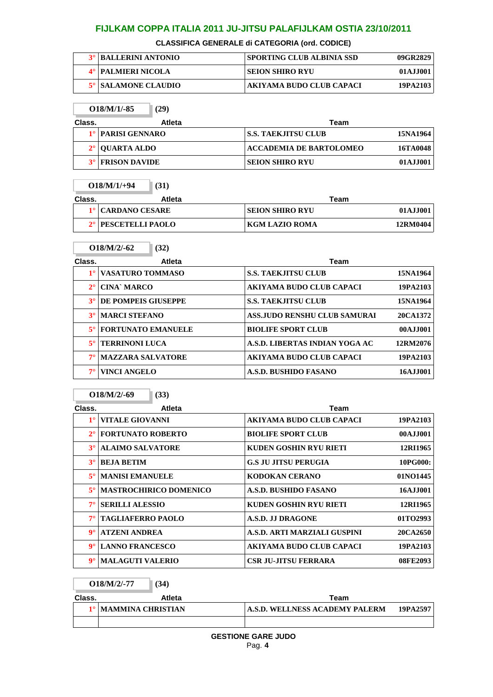#### **CLASSIFICA GENERALE di CATEGORIA (ord. CODICE)**

| <b>3° BALLERINI ANTONIO</b> | <b>SPORTING CLUB ALBINIA SSD</b> | 09GR2829 |
|-----------------------------|----------------------------------|----------|
| <b>4° PALMIERI NICOLA</b>   | <b>SEION SHIRO RYU</b>           | 01AJJ001 |
| 5° SALAMONE CLAUDIO         | AKIYAMA BUDO CLUB CAPACI         | 19PA2103 |

|        | (29)<br>$O18/M/1/-85$   |                                |          |
|--------|-------------------------|--------------------------------|----------|
| Class. | <b>Atleta</b>           | Team                           |          |
|        | 1º   PARISI GENNARO     | <b>S.S. TAEKJITSU CLUB</b>     | 15NA1964 |
|        | 2° OUARTA ALDO          | <b>ACCADEMIA DE BARTOLOMEO</b> | 16TA0048 |
|        | <b>3° FRISON DAVIDE</b> | <b>SEION SHIRO RYU</b>         | 01AJJ001 |

|        | $O18/M/1/+94$<br>(31)           |               |                        |          |
|--------|---------------------------------|---------------|------------------------|----------|
| Class. |                                 | <b>Atleta</b> | Team                   |          |
|        | 1º CARDANO CESARE               |               | <b>SEION SHIRO RYU</b> | 01AJJ001 |
|        | 2 <sup>°</sup> PESCETELLI PAOLO |               | KGM LAZIO ROMA         | 12RM0404 |
|        |                                 |               |                        |          |

| Class.      | <b>Atleta</b>             | Team                                |            |
|-------------|---------------------------|-------------------------------------|------------|
|             | <b>VASATURO TOMMASO</b>   | <b>S.S. TAEKJITSU CLUB</b>          | 15NA1964   |
| $2^{\circ}$ | CINA' MARCO               | AKIYAMA BUDO CLUB CAPACI            | 19PA2103   |
| $3^\circ$   | DE POMPEIS GIUSEPPE       | <b>S.S. TAEKJITSU CLUB</b>          | 15NA1964   |
| $3^\circ$   | <b>MARCI STEFANO</b>      | <b>ASS.JUDO RENSHU CLUB SAMURAI</b> | 20CA1372   |
| $5^{\circ}$ | <b>FORTUNATO EMANUELE</b> | <b>BIOLIFE SPORT CLUB</b>           | 00AJJ001   |
| $5^{\circ}$ | <b>TERRINONI LUCA</b>     | A.S.D. LIBERTAS INDIAN YOGA AC      | 12RM2076   |
| $7^{\circ}$ | <b>MAZZARA SALVATORE</b>  | AKIYAMA BUDO CLUB CAPACI            | 19PA2103   |
| $7^\circ$   | VINCI ANGELO              | A.S.D. BUSHIDO FASANO               | 16A.I.I001 |

|             | $O18/M/2/-69$            | (33)                          |                               |          |
|-------------|--------------------------|-------------------------------|-------------------------------|----------|
| Class.      |                          | <b>Atleta</b>                 | Team                          |          |
| $1^{\circ}$ | VITALE GIOVANNI          |                               | AKIYAMA BUDO CLUB CAPACI      | 19PA2103 |
| $2^{\circ}$ | <b>FORTUNATO ROBERTO</b> |                               | <b>BIOLIFE SPORT CLUB</b>     | 00AJJ001 |
| $3^\circ$   | <b>ALAIMO SALVATORE</b>  |                               | KUDEN GOSHIN RYU RIETI        | 12RI1965 |
| $3^\circ$   | <b>BEJA BETIM</b>        |                               | <b>G.S JU JITSU PERUGIA</b>   | 10PG000: |
| $5^{\circ}$ | <b>MANISI EMANUELE</b>   |                               | <b>KODOKAN CERANO</b>         | 01NO1445 |
| $5^{\circ}$ |                          | <b>MASTROCHIRICO DOMENICO</b> | A.S.D. BUSHIDO FASANO         | 16AJJ001 |
| $7^\circ$   | <b>SERILLI ALESSIO</b>   |                               | <b>KUDEN GOSHIN RYU RIETI</b> | 12RI1965 |
| $7^\circ$   | <b>TAGLIAFERRO PAOLO</b> |                               | A.S.D. JJ DRAGONE             | 01TO2993 |
| $9^\circ$   | <b>ATZENI ANDREA</b>     |                               | A.S.D. ARTI MARZIALI GUSPINI  | 20CA2650 |
| $9^\circ$   | <b>LANNO FRANCESCO</b>   |                               | AKIYAMA BUDO CLUB CAPACI      | 19PA2103 |
| $9^\circ$   | <b>MALAGUTI VALERIO</b>  |                               | <b>CSR JU-JITSU FERRARA</b>   | 08FE2093 |

# **O18/M/2/-77 (34)**

**O18/M/2/-62 (32)**

÷.

| Class. | Atleta                 | Team                           |          |  |
|--------|------------------------|--------------------------------|----------|--|
|        | 1º   MAMMINA CHRISTIAN | A.S.D. WELLNESS ACADEMY PALERM | 19PA2597 |  |
|        |                        |                                |          |  |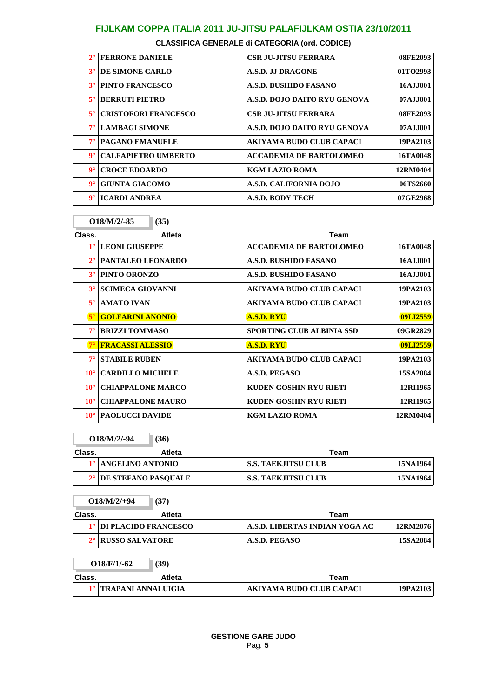| $2^{\circ}$          | <b>FERRONE DANIELE</b>      | <b>CSR JU-JITSU FERRARA</b>     | 08FE2093   |
|----------------------|-----------------------------|---------------------------------|------------|
| $3^\circ$            | DE SIMONE CARLO             | A.S.D. J.J DRAGONE              | 01TO2993   |
| $3^\circ$            | <b>PINTO FRANCESCO</b>      | <b>A.S.D. BUSHIDO FASANO</b>    | 16AJJ001   |
| $5^{\circ}$          | <b>BERRUTI PIETRO</b>       | A.S.D. DOJO DAITO RYU GENOVA    | 07A.I.I001 |
| $5^{\circ}$          | <b>CRISTOFORI FRANCESCO</b> | <b>CSR JU-JITSU FERRARA</b>     | 08FE2093   |
| $7^\circ$            | <b>LAMBAGI SIMONE</b>       | A.S.D. DOJO DAITO RYU GENOVA    | 07AJJ001   |
| $7^\circ$            | <b>PAGANO EMANUELE</b>      | <b>AKIYAMA BUDO CLUB CAPACI</b> | 19PA2103   |
| $\mathbf{Q}^{\circ}$ | <b>CALFAPIETRO UMBERTO</b>  | <b>ACCADEMIA DE BARTOLOMEO</b>  | 16TA0048   |
| $9^\circ$            | <b>CROCE EDOARDO</b>        | <b>KGM LAZIO ROMA</b>           | 12RM0404   |
| $9^\circ$            | <b>GIUNTA GIACOMO</b>       | A.S.D. CALIFORNIA DOJO          | 06TS2660   |
| $\mathbf{Q}^{\circ}$ | <b>ICARDI ANDREA</b>        | <b>A.S.D. BODY TECH</b>         | 07GE2968   |

**O18/M/2/-85 (35)**

| Class.       | Atleta                   | Team                             |          |
|--------------|--------------------------|----------------------------------|----------|
| $1^{\circ}$  | <b>LEONI GIUSEPPE</b>    | <b>ACCADEMIA DE BARTOLOMEO</b>   | 16TA0048 |
| $2^{\circ}$  | PANTALEO LEONARDO        | A.S.D. BUSHIDO FASANO            | 16AJJ001 |
| $3^\circ$    | PINTO ORONZO             | <b>A.S.D. BUSHIDO FASANO</b>     | 16AJJ001 |
| $3^\circ$    | <b>SCIMECA GIOVANNI</b>  | AKIYAMA BUDO CLUB CAPACI         | 19PA2103 |
| $5^\circ$    | <b>AMATO IVAN</b>        | AKIYAMA BUDO CLUB CAPACI         | 19PA2103 |
| $5^\circ$    | <b>GOLFARINI ANONIO</b>  | <b>A.S.D. RYU</b>                | 09LI2559 |
| $7^\circ$    | <b>BRIZZI TOMMASO</b>    | <b>SPORTING CLUB ALBINIA SSD</b> | 09GR2829 |
| $7^\circ$    | <b>FRACASSI ALESSIO</b>  | <b>A.S.D. RYU</b>                | 09LI2559 |
| $7^\circ$    | <b>STABILE RUBEN</b>     | AKIYAMA BUDO CLUB CAPACI         | 19PA2103 |
| $10^{\circ}$ | <b>CARDILLO MICHELE</b>  | A.S.D. PEGASO                    | 15SA2084 |
| $10^{\circ}$ | <b>CHIAPPALONE MARCO</b> | KUDEN GOSHIN RYU RIETI           | 12RI1965 |
| $10^{\circ}$ | <b>CHIAPPALONE MAURO</b> | KUDEN GOSHIN RYU RIETI           | 12RI1965 |
| $10^{\circ}$ | <b>PAOLUCCI DAVIDE</b>   | KGM LAZIO ROMA                   | 12RM0404 |

**O18/M/2/-94 (36)**

| Class. | Atleta                 | Team                |          |
|--------|------------------------|---------------------|----------|
|        | 1º ANGELINO ANTONIO    | S.S. TAEKJITSU CLUB | 15NA1964 |
|        | 2° DE STEFANO PASOUALE | S.S. TAEKJITSU CLUB | 15NA1964 |

**O18/M/2/+94 (37) Class. Atleta Team 1° DI PLACIDO FRANCESCO A.S.D. LIBERTAS INDIAN YOGA AC 12RM2076 2° RUSSO SALVATORE A.S.D. PEGASO 15SA2084 O18/F/1/-62 (39) Class. Atleta Team 1° TRAPANI ANNALUIGIA AKIYAMA BUDO CLUB CAPACI 19PA2103**